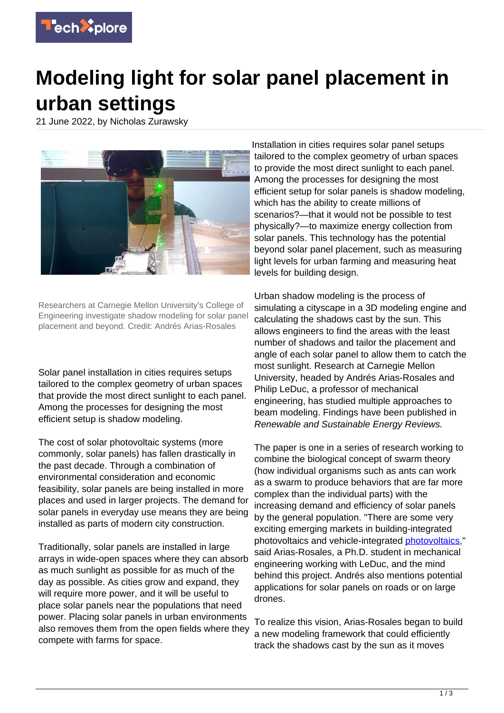

## **Modeling light for solar panel placement in urban settings**

21 June 2022, by Nicholas Zurawsky



Researchers at Carnegie Mellon University's College of Engineering investigate shadow modeling for solar panel placement and beyond. Credit: Andrés Arias-Rosales

Solar panel installation in cities requires setups tailored to the complex geometry of urban spaces that provide the most direct sunlight to each panel. Among the processes for designing the most efficient setup is shadow modeling.

The cost of solar photovoltaic systems (more commonly, solar panels) has fallen drastically in the past decade. Through a combination of environmental consideration and economic feasibility, solar panels are being installed in more places and used in larger projects. The demand for solar panels in everyday use means they are being installed as parts of modern city construction.

Traditionally, solar panels are installed in large arrays in wide-open spaces where they can absorb as much sunlight as possible for as much of the day as possible. As cities grow and expand, they will require more power, and it will be useful to place solar panels near the populations that need power. Placing solar panels in urban environments also removes them from the open fields where they compete with farms for space.

Installation in cities requires solar panel setups tailored to the complex geometry of urban spaces to provide the most direct sunlight to each panel. Among the processes for designing the most efficient setup for solar panels is shadow modeling, which has the ability to create millions of scenarios?—that it would not be possible to test physically?—to maximize energy collection from solar panels. This technology has the potential beyond solar panel placement, such as measuring light levels for urban farming and measuring heat levels for building design.

Urban shadow modeling is the process of simulating a cityscape in a 3D modeling engine and calculating the shadows cast by the sun. This allows engineers to find the areas with the least number of shadows and tailor the placement and angle of each solar panel to allow them to catch the most sunlight. Research at Carnegie Mellon University, headed by Andrés Arias-Rosales and Philip LeDuc, a professor of mechanical engineering, has studied multiple approaches to beam modeling. Findings have been published in Renewable and Sustainable Energy Reviews.

The paper is one in a series of research working to combine the biological concept of swarm theory (how individual organisms such as ants can work as a swarm to produce behaviors that are far more complex than the individual parts) with the increasing demand and efficiency of solar panels by the general population. "There are some very exciting emerging markets in building-integrated photovoltaics and vehicle-integrated [photovoltaics](https://techxplore.com/tags/photovoltaics/)," said Arias-Rosales, a Ph.D. student in mechanical engineering working with LeDuc, and the mind behind this project. Andrés also mentions potential applications for solar panels on roads or on large drones.

To realize this vision, Arias-Rosales began to build a new modeling framework that could efficiently track the shadows cast by the sun as it moves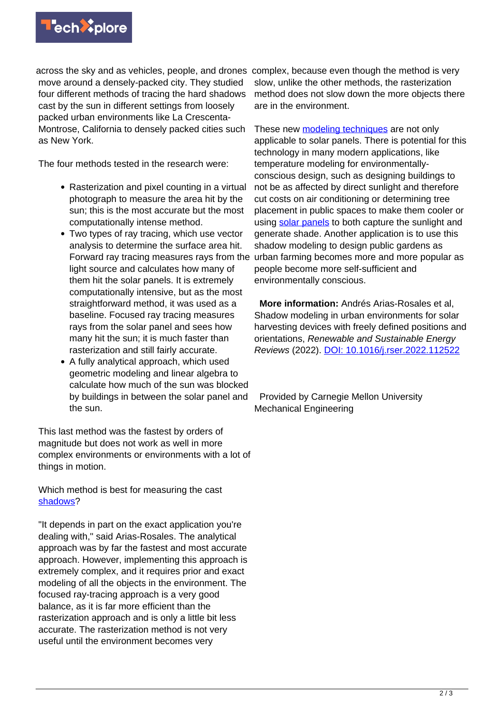across the sky and as vehicles, people, and drones complex, because even though the method is very move around a densely-packed city. They studied four different methods of tracing the hard shadows cast by the sun in different settings from loosely packed urban environments like La Crescenta-Montrose, California to densely packed cities such as New York.

The four methods tested in the research were:

- Rasterization and pixel counting in a virtual photograph to measure the area hit by the sun; this is the most accurate but the most computationally intense method.
- Two types of ray tracing, which use vector analysis to determine the surface area hit. Forward ray tracing measures rays from the light source and calculates how many of them hit the solar panels. It is extremely computationally intensive, but as the most straightforward method, it was used as a baseline. Focused ray tracing measures rays from the solar panel and sees how many hit the sun; it is much faster than rasterization and still fairly accurate.
- A fully analytical approach, which used geometric modeling and linear algebra to calculate how much of the sun was blocked by buildings in between the solar panel and the sun.

This last method was the fastest by orders of magnitude but does not work as well in more complex environments or environments with a lot of things in motion.

Which method is best for measuring the cast [shadows?](https://techxplore.com/tags/shadows/)

"It depends in part on the exact application you're dealing with," said Arias-Rosales. The analytical approach was by far the fastest and most accurate approach. However, implementing this approach is extremely complex, and it requires prior and exact modeling of all the objects in the environment. The focused ray-tracing approach is a very good balance, as it is far more efficient than the rasterization approach and is only a little bit less accurate. The rasterization method is not very useful until the environment becomes very

slow, unlike the other methods, the rasterization method does not slow down the more objects there are in the environment.

These new [modeling techniques](https://techxplore.com/tags/modeling+techniques/) are not only applicable to solar panels. There is potential for this technology in many modern applications, like temperature modeling for environmentallyconscious design, such as designing buildings to not be as affected by direct sunlight and therefore cut costs on air conditioning or determining tree placement in public spaces to make them cooler or using [solar panels](https://techxplore.com/tags/solar+panels/) to both capture the sunlight and generate shade. Another application is to use this shadow modeling to design public gardens as urban farming becomes more and more popular as people become more self-sufficient and environmentally conscious.

 **More information:** Andrés Arias-Rosales et al, Shadow modeling in urban environments for solar harvesting devices with freely defined positions and orientations, Renewable and Sustainable Energy Reviews (2022). [DOI: 10.1016/j.rser.2022.112522](https://dx.doi.org/10.1016/j.rser.2022.112522)

 Provided by Carnegie Mellon University Mechanical Engineering